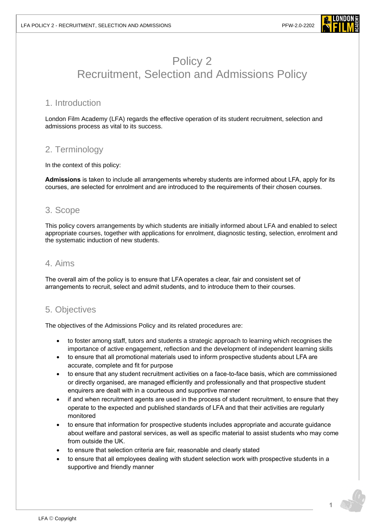

# Policy 2 Recruitment, Selection and Admissions Policy

# 1. Introduction

London Film Academy (LFA) regards the effective operation of its student recruitment, selection and admissions process as vital to its success.

# 2. Terminology

In the context of this policy:

**Admissions** is taken to include all arrangements whereby students are informed about LFA, apply for its courses, are selected for enrolment and are introduced to the requirements of their chosen courses.

## 3. Scope

This policy covers arrangements by which students are initially informed about LFA and enabled to select appropriate courses, together with applications for enrolment, diagnostic testing, selection, enrolment and the systematic induction of new students.

### 4. Aims

The overall aim of the policy is to ensure that LFA operates a clear, fair and consistent set of arrangements to recruit, select and admit students, and to introduce them to their courses.

# 5. Objectives

The objectives of the Admissions Policy and its related procedures are:

- to foster among staff, tutors and students a strategic approach to learning which recognises the importance of active engagement, reflection and the development of independent learning skills
- to ensure that all promotional materials used to inform prospective students about LFA are accurate, complete and fit for purpose
- to ensure that any student recruitment activities on a face-to-face basis, which are commissioned or directly organised, are managed efficiently and professionally and that prospective student enquirers are dealt with in a courteous and supportive manner
- if and when recruitment agents are used in the process of student recruitment, to ensure that they operate to the expected and published standards of LFA and that their activities are regularly monitored
- to ensure that information for prospective students includes appropriate and accurate guidance about welfare and pastoral services, as well as specific material to assist students who may come from outside the UK.
- to ensure that selection criteria are fair, reasonable and clearly stated
- to ensure that all employees dealing with student selection work with prospective students in a supportive and friendly manner